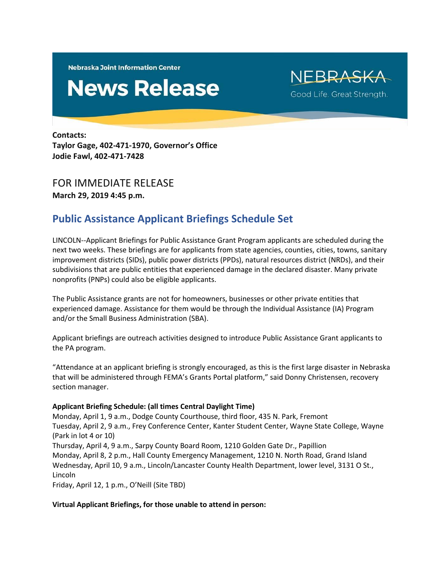**Nebraska Joint Information Center** 

# **News Release**

NEBRASKA Good Life. Great Strength.

**Contacts: Taylor Gage, 402-471-1970, Governor's Office Jodie Fawl, 402-471-7428**

## FOR IMMEDIATE RELEASE

**March 29, 2019 4:45 p.m.**

## **Public Assistance Applicant Briefings Schedule Set**

LINCOLN--Applicant Briefings for Public Assistance Grant Program applicants are scheduled during the next two weeks. These briefings are for applicants from state agencies, counties, cities, towns, sanitary improvement districts (SIDs), public power districts (PPDs), natural resources district (NRDs), and their subdivisions that are public entities that experienced damage in the declared disaster. Many private nonprofits (PNPs) could also be eligible applicants.

The Public Assistance grants are not for homeowners, businesses or other private entities that experienced damage. Assistance for them would be through the Individual Assistance (IA) Program and/or the Small Business Administration (SBA).

Applicant briefings are outreach activities designed to introduce Public Assistance Grant applicants to the PA program.

"Attendance at an applicant briefing is strongly encouraged, as this is the first large disaster in Nebraska that will be administered through FEMA's Grants Portal platform," said Donny Christensen, recovery section manager.

### **Applicant Briefing Schedule: (all times Central Daylight Time)**

Monday, April 1, 9 a.m., Dodge County Courthouse, third floor, 435 N. Park, Fremont Tuesday, April 2, 9 a.m., Frey Conference Center, Kanter Student Center, Wayne State College, Wayne (Park in lot 4 or 10) Thursday, April 4, 9 a.m., Sarpy County Board Room, 1210 Golden Gate Dr., Papillion Monday, April 8, 2 p.m., Hall County Emergency Management, 1210 N. North Road, Grand Island Wednesday, April 10, 9 a.m., Lincoln/Lancaster County Health Department, lower level, 3131 O St., Lincoln Friday, April 12, 1 p.m., O'Neill (Site TBD)

#### **Virtual Applicant Briefings, for those unable to attend in person:**